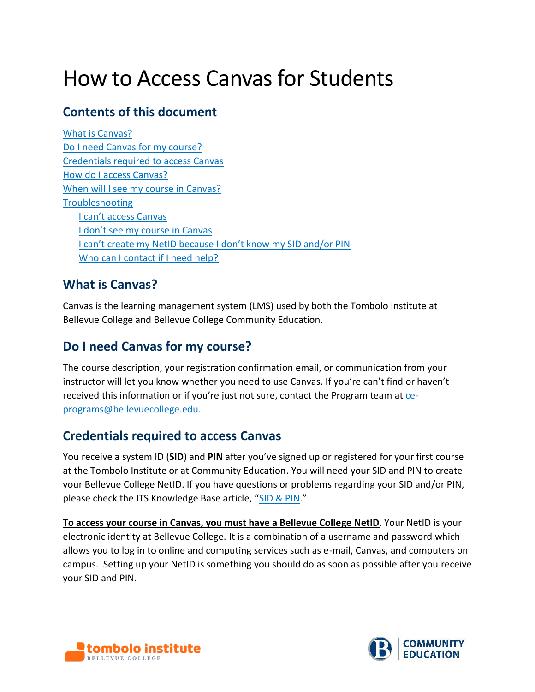# How to Access Canvas for Students

# **Contents of this document**

[What is Canvas?](#page-0-0) [Do I need Canvas for my course?](#page-0-1) [Credentials required to access Canvas](#page-0-2) [How do I access Canvas?](#page-1-0) [When will I see my course in Canvas?](#page-1-1) **[Troubleshooting](#page-1-2)** [I can't access Canvas](#page-1-3) [I don't see my course in Canvas](#page-2-0) [I can't create my NetID because I don't know my SID and/or PIN](#page-2-1) [Who can I contact if I need help?](#page-3-0)

# <span id="page-0-0"></span>**What is Canvas?**

Canvas is the learning management system (LMS) used by both the Tombolo Institute at Bellevue College and Bellevue College Community Education.

# <span id="page-0-1"></span>**Do I need Canvas for my course?**

The course description, your registration confirmation email, or communication from your instructor will let you know whether you need to use Canvas. If you're can't find or haven't received this information or if you're just not sure, contact the Program team at [ce](mailto:ce-programs@bellevuecollege.edu)[programs@bellevuecollege.edu.](mailto:ce-programs@bellevuecollege.edu)

# <span id="page-0-2"></span>**Credentials required to access Canvas**

You receive a system ID (**SID**) and **PIN** after you've signed up or registered for your first course at the Tombolo Institute or at Community Education. You will need your SID and PIN to create your Bellevue College NetID. If you have questions or problems regarding your SID and/or PIN, please check the ITS Knowledge Base article, "[SID & PIN](https://bellevuecollege.teamdynamix.com/TDClient/2044/Portal/KB/ArticleDet?ID=20959)."

**To access your course in Canvas, you must have a Bellevue College NetID**. Your NetID is your electronic identity at Bellevue College. It is a combination of a username and password which allows you to log in to online and computing services such as e-mail, Canvas, and computers on campus. Setting up your NetID is something you should do as soon as possible after you receive your SID and PIN.



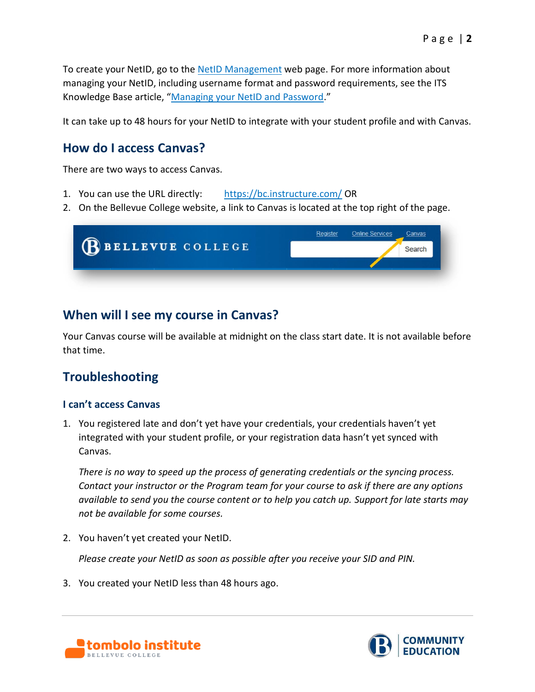To create your NetID, go to the [NetID Management](https://www2.bellevuecollege.edu/netid/) web page. For more information about managing your NetID, including username format and password requirements, see the ITS Knowledge Base article, "[Managing your NetID and Password](https://bellevuecollege.teamdynamix.com/TDClient/2044/Portal/KB/ArticleDet?ID=23240)."

It can take up to 48 hours for your NetID to integrate with your student profile and with Canvas.

## <span id="page-1-0"></span>**How do I access Canvas?**

There are two ways to access Canvas.

- 1. You can use the URL directly: <https://bc.instructure.com/> OR
- 2. On the Bellevue College website, a link to Canvas is located at the top right of the page.

| BELLEVUE COLLEGE | Register<br>Online Services |
|------------------|-----------------------------|
|                  | Sean                        |
|                  |                             |

## <span id="page-1-1"></span>**When will I see my course in Canvas?**

Your Canvas course will be available at midnight on the class start date. It is not available before that time.

# <span id="page-1-2"></span>**Troubleshooting**

## <span id="page-1-3"></span>**I can't access Canvas**

1. You registered late and don't yet have your credentials, your credentials haven't yet integrated with your student profile, or your registration data hasn't yet synced with Canvas.

*There is no way to speed up the process of generating credentials or the syncing process. Contact your instructor or the Program team for your course to ask if there are any options available to send you the course content or to help you catch up. Support for late starts may not be available for some courses.*

2. You haven't yet created your NetID.

*Please create your NetID as soon as possible after you receive your SID and PIN.* 

3. You created your NetID less than 48 hours ago.



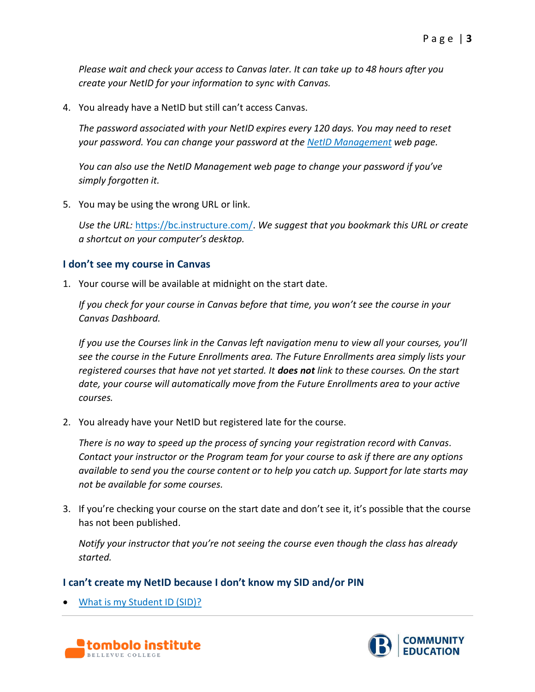*Please wait and check your access to Canvas later. It can take up to 48 hours after you create your NetID for your information to sync with Canvas.* 

4. You already have a NetID but still can't access Canvas.

*The password associated with your NetID expires every 120 days. You may need to reset your password. You can change your password at the [NetID Management](https://www2.bellevuecollege.edu/netid/) web page.*

*You can also use the NetID Management web page to change your password if you've simply forgotten it.*

5. You may be using the wrong URL or link.

*Use the URL:* [https://bc.instructure.com/.](https://bc.instructure.com/) *We suggest that you bookmark this URL or create a shortcut on your computer's desktop.*

## <span id="page-2-0"></span>**I don't see my course in Canvas**

1. Your course will be available at midnight on the start date.

*If you check for your course in Canvas before that time, you won't see the course in your Canvas Dashboard.* 

*If you use the Courses link in the Canvas left navigation menu to view all your courses, you'll see the course in the Future Enrollments area. The Future Enrollments area simply lists your registered courses that have not yet started. It does not link to these courses. On the start date, your course will automatically move from the Future Enrollments area to your active courses.*

2. You already have your NetID but registered late for the course.

*There is no way to speed up the process of syncing your registration record with Canvas. Contact your instructor or the Program team for your course to ask if there are any options available to send you the course content or to help you catch up. Support for late starts may not be available for some courses.*

3. If you're checking your course on the start date and don't see it, it's possible that the course has not been published.

*Notify your instructor that you're not seeing the course even though the class has already started.* 

## <span id="page-2-1"></span>**I can't create my NetID because I don't know my SID and/or PIN**

• [What is my Student ID \(SID\)?](https://www.ctc.edu/~bellevue/student/waci240.html)



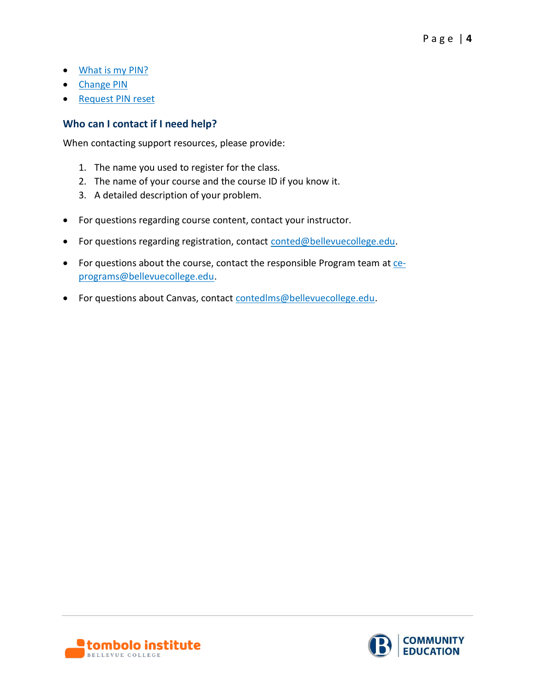- [What is my PIN?](http://www.bellevuecollege.edu/registration/faq/#what-is-my-pin)
- [Change PIN](https://www.ctc.edu/~bellevue/student/waci008.html)
- [Request](http://www.bellevuecollege.edu/services/pin-reset-form/) PIN reset

## <span id="page-3-0"></span>**Who can I contact if I need help?**

When contacting support resources, please provide:

- 1. The name you used to register for the class.
- 2. The name of your course and the course ID if you know it.
- 3. A detailed description of your problem.
- For questions regarding course content, contact your instructor.
- For questions regarding registration, contact [conted@bellevuecollege.edu.](mailto:conted@bellevuecollege.edu)
- For questions about the course, contact the responsible Program team at [ce](mailto:ce-programs@bellevuecollege.edu)[programs@bellevuecollege.edu.](mailto:ce-programs@bellevuecollege.edu)
- For questions about Canvas, contact [contedlms@bellevuecollege.edu.](mailto:contedlms@bellevuecollege.edu)